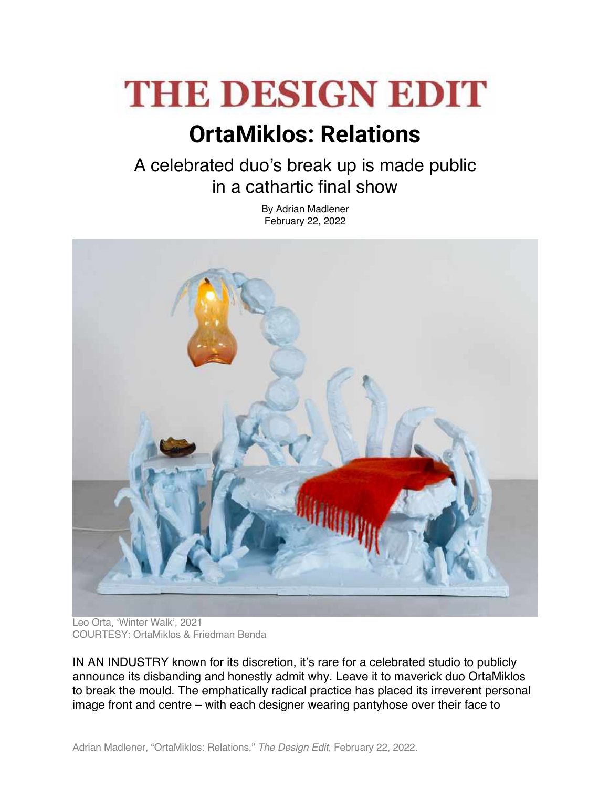## **THE DESIGN EDIT**

## **OrtaMiklos: Relations**

A celebrated duo's break up is made public in a cathartic final show

> By Adrian Madlener February 22, 2022



Leo Orta, 'Winter Walk', 2021 COURTESY: OrtaMiklos & Friedman Benda

IN AN INDUSTRY known for its discretion, it's rare for a celebrated studio to publicly announce its disbanding and honestly admit why. Leave it to maverick duo OrtaMiklos to break the mould. The emphatically radical practice has placed its irreverent personal image front and centre – with each designer wearing pantyhose over their face to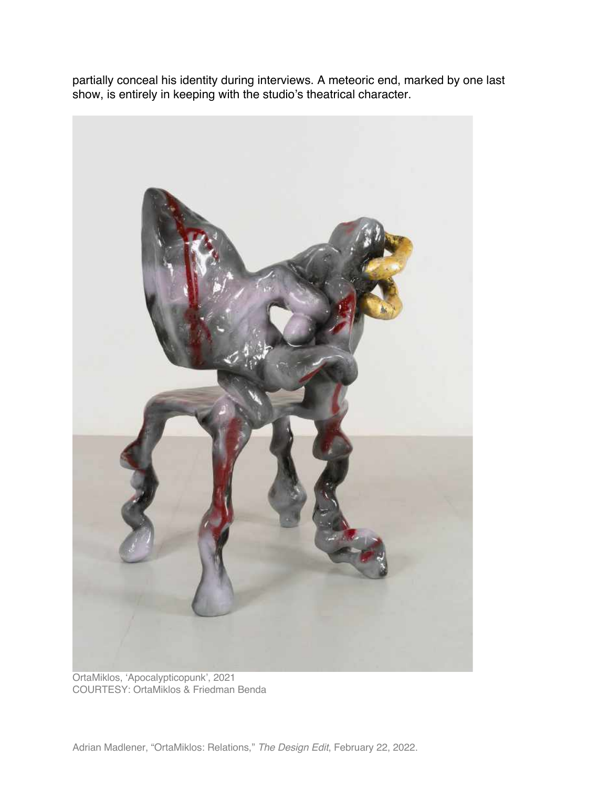partially conceal his identity during interviews. A meteoric end, marked by one last show, is entirely in keeping with the studio's theatrical character.



OrtaMiklos, 'Apocalypticopunk', 2021 COURTESY: OrtaMiklos & Friedman Benda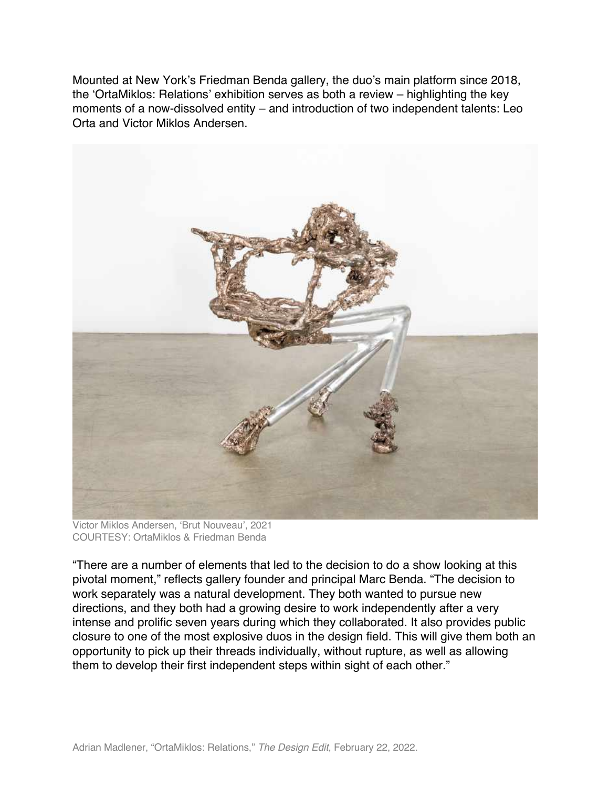Mounted at New York's Friedman Benda gallery, the duo's main platform since 2018, the 'OrtaMiklos: Relations' exhibition serves as both a review – highlighting the key moments of a now-dissolved entity – and introduction of two independent talents: Leo Orta and Victor Miklos Andersen.



Victor Miklos Andersen, 'Brut Nouveau', 2021 COURTESY: OrtaMiklos & Friedman Benda

"There are a number of elements that led to the decision to do a show looking at this pivotal moment," reflects gallery founder and principal Marc Benda. "The decision to work separately was a natural development. They both wanted to pursue new directions, and they both had a growing desire to work independently after a very intense and prolific seven years during which they collaborated. It also provides public closure to one of the most explosive duos in the design field. This will give them both an opportunity to pick up their threads individually, without rupture, as well as allowing them to develop their first independent steps within sight of each other."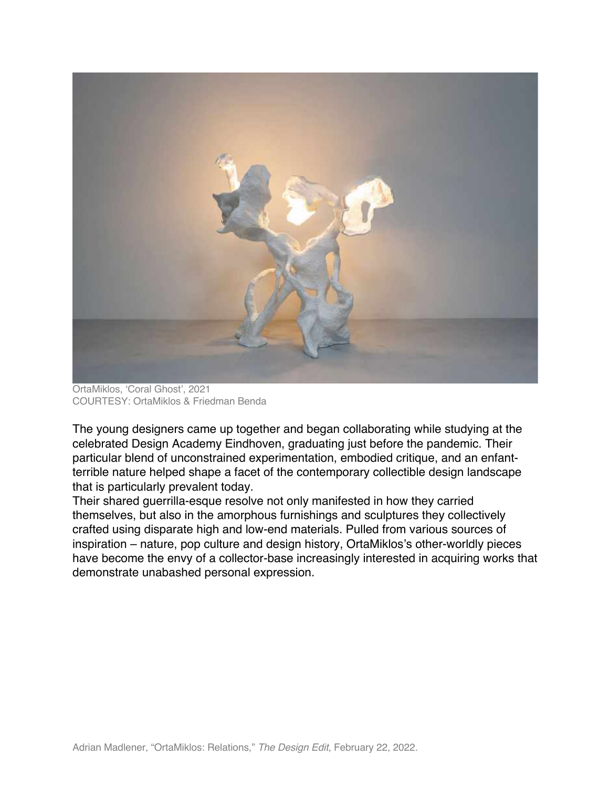

OrtaMiklos, 'Coral Ghost', 2021 COURTESY: OrtaMiklos & Friedman Benda

The young designers came up together and began collaborating while studying at the celebrated Design Academy Eindhoven, graduating just before the pandemic. Their particular blend of unconstrained experimentation, embodied critique, and an enfantterrible nature helped shape a facet of the contemporary collectible design landscape that is particularly prevalent today.

Their shared guerrilla-esque resolve not only manifested in how they carried themselves, but also in the amorphous furnishings and sculptures they collectively crafted using disparate high and low-end materials. Pulled from various sources of inspiration – nature, pop culture and design history, OrtaMiklos's other-worldly pieces have become the envy of a collector-base increasingly interested in acquiring works that demonstrate unabashed personal expression.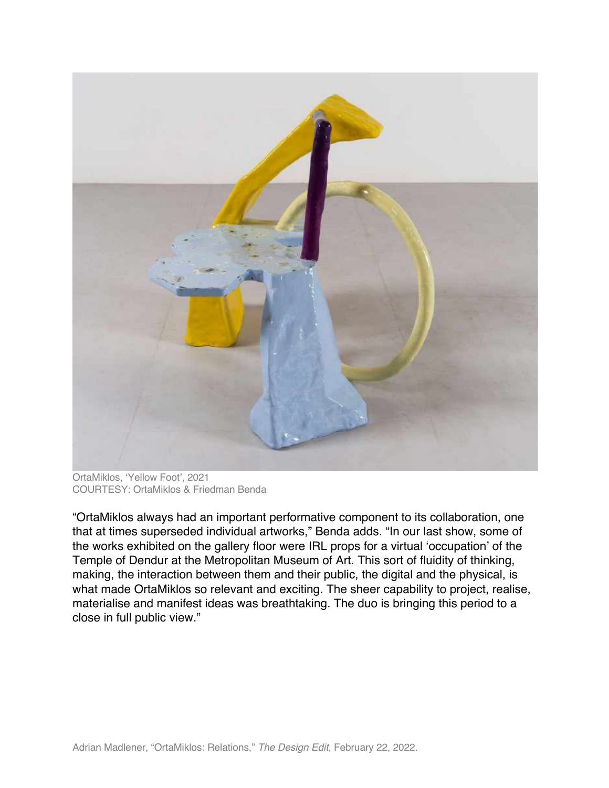

OrtaMiklos, 'Yellow Foot', 2021 COURTESY: OrtaMiklos & Friedman Benda

"OrtaMiklos always had an important performative component to its collaboration, one that at times superseded individual artworks," Benda adds. "In our last show, some of the works exhibited on the gallery floor were IRL props for a virtual 'occupation' of the Temple of Dendur at the Metropolitan Museum of Art. This sort of fluidity of thinking, making, the interaction between them and their public, the digital and the physical, is what made OrtaMiklos so relevant and exciting. The sheer capability to project, realise, materialise and manifest ideas was breathtaking. The duo is bringing this period to a close in full public view."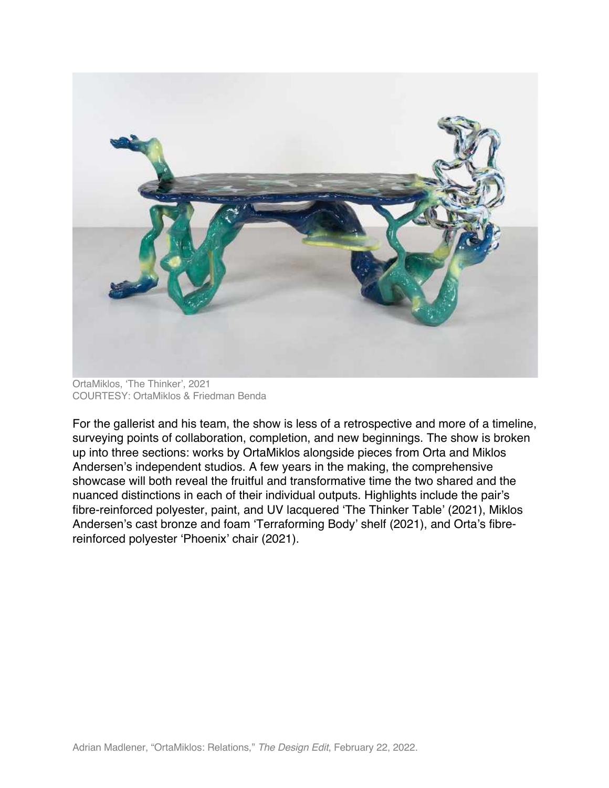

OrtaMiklos, 'The Thinker', 2021 COURTESY: OrtaMiklos & Friedman Benda

For the gallerist and his team, the show is less of a retrospective and more of a timeline, surveying points of collaboration, completion, and new beginnings. The show is broken up into three sections: works by OrtaMiklos alongside pieces from Orta and Miklos Andersen's independent studios. A few years in the making, the comprehensive showcase will both reveal the fruitful and transformative time the two shared and the nuanced distinctions in each of their individual outputs. Highlights include the pair's fibre-reinforced polyester, paint, and UV lacquered 'The Thinker Table' (2021), Miklos Andersen's cast bronze and foam 'Terraforming Body' shelf (2021), and Orta's fibrereinforced polyester 'Phoenix' chair (2021).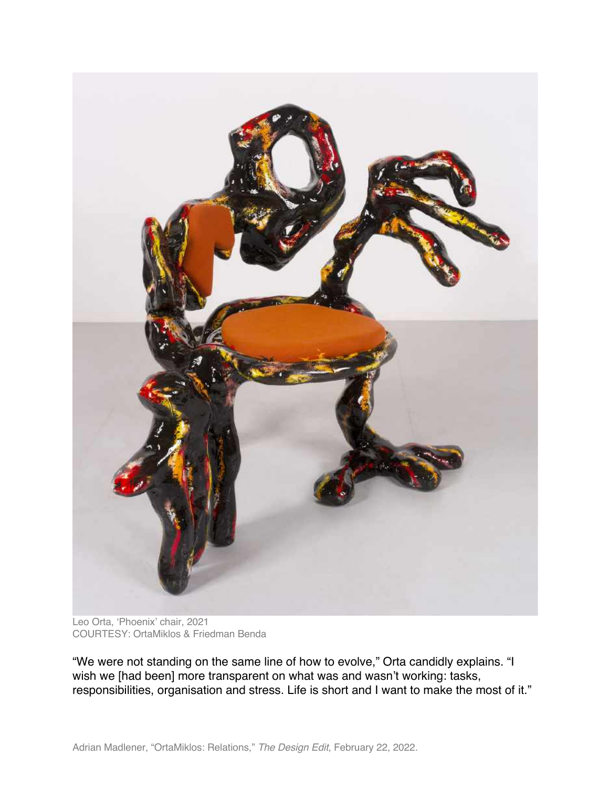

Leo Orta, 'Phoenix' chair, 2021 COURTESY: OrtaMiklos & Friedman Benda

"We were not standing on the same line of how to evolve," Orta candidly explains. "I wish we [had been] more transparent on what was and wasn't working: tasks, responsibilities, organisation and stress. Life is short and I want to make the most of it."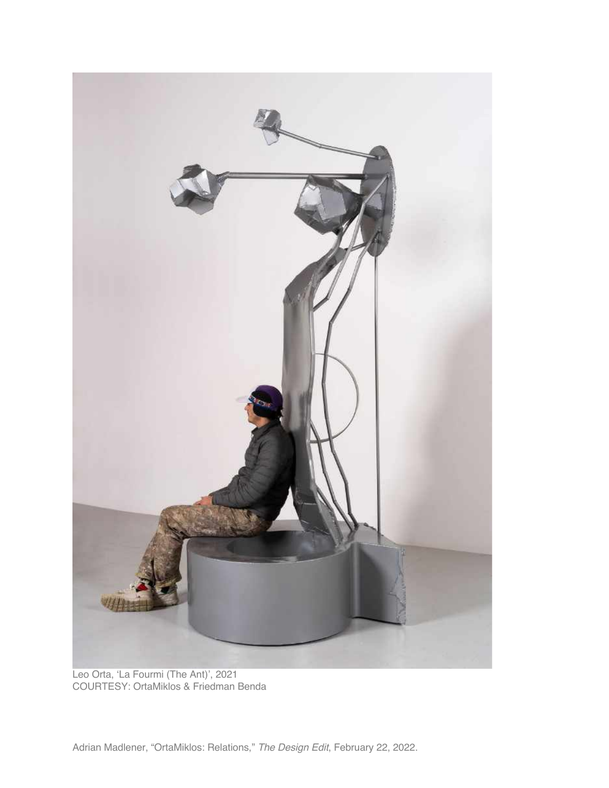

Leo Orta, 'La Fourmi (The Ant)', 2021 COURTESY: OrtaMiklos & Friedman Benda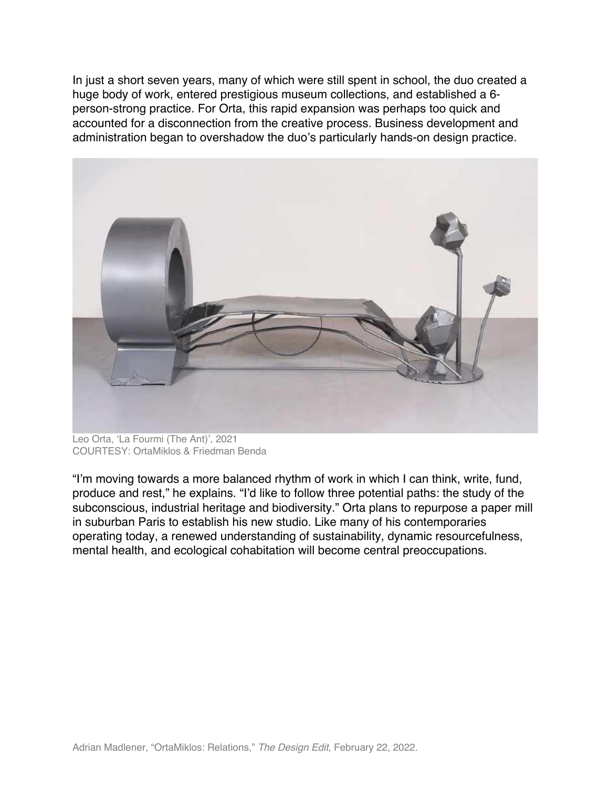In just a short seven years, many of which were still spent in school, the duo created a huge body of work, entered prestigious museum collections, and established a 6 person-strong practice. For Orta, this rapid expansion was perhaps too quick and accounted for a disconnection from the creative process. Business development and administration began to overshadow the duo's particularly hands-on design practice.



Leo Orta, 'La Fourmi (The Ant)', 2021 COURTESY: OrtaMiklos & Friedman Benda

"I'm moving towards a more balanced rhythm of work in which I can think, write, fund, produce and rest," he explains. "I'd like to follow three potential paths: the study of the subconscious, industrial heritage and biodiversity." Orta plans to repurpose a paper mill in suburban Paris to establish his new studio. Like many of his contemporaries operating today, a renewed understanding of sustainability, dynamic resourcefulness, mental health, and ecological cohabitation will become central preoccupations.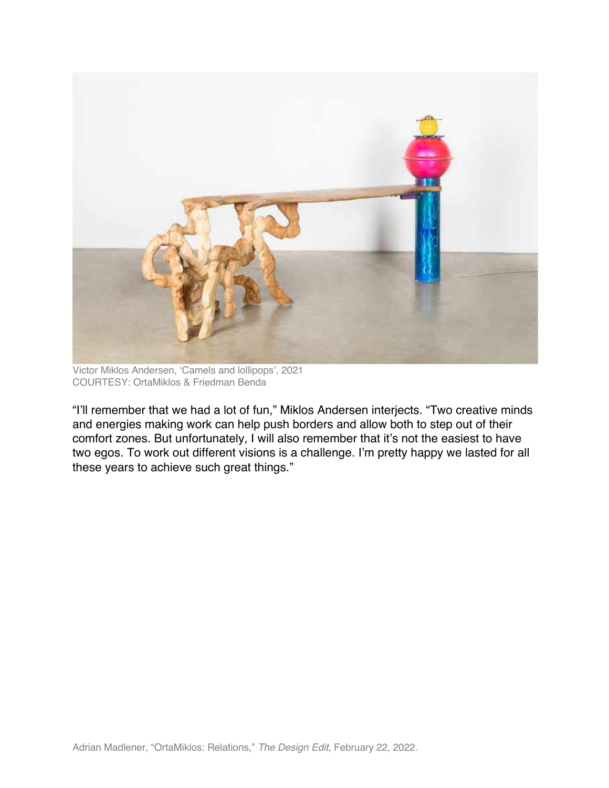

Victor Miklos Andersen, 'Camels and lollipops', 2021 COURTESY: OrtaMiklos & Friedman Benda

"I'll remember that we had a lot of fun," Miklos Andersen interjects. "Two creative minds and energies making work can help push borders and allow both to step out of their comfort zones. But unfortunately, I will also remember that it's not the easiest to have two egos. To work out different visions is a challenge. I'm pretty happy we lasted for all these years to achieve such great things."